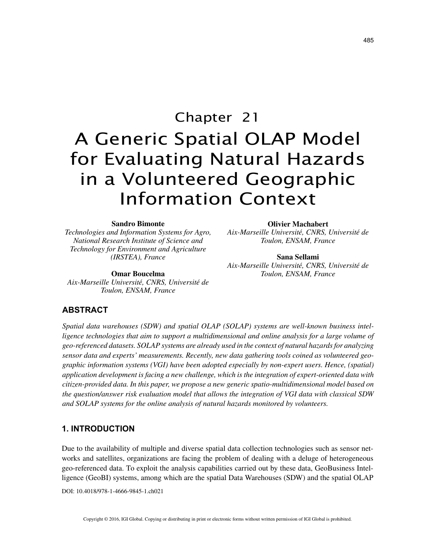# Chapter 21 A Generic Spatial OLAP Model for Evaluating Natural Hazards in a Volunteered Geographic Information Context

#### **Sandro Bimonte**

*Technologies and Information Systems for Agro, National Research Institute of Science and Technology for Environment and Agriculture (IRSTEA), France*

**Omar Boucelma** *Aix-Marseille Université, CNRS, Université de Toulon, ENSAM, France*

#### **Olivier Machabert**

*Aix-Marseille Université, CNRS, Université de Toulon, ENSAM, France*

**Sana Sellami** *Aix-Marseille Université, CNRS, Université de Toulon, ENSAM, France*

## **ABSTRACT**

*Spatial data warehouses (SDW) and spatial OLAP (SOLAP) systems are well-known business intel*ligence technologies that aim to support a multidimensional and online analysis for a large volume of *geo-referenced datasets. SOLAP systems are already used in the context of natural hazards for analyzing sensor data and experts' measurements. Recently, new data gathering tools coined as volunteered geographic information systems (VGI) have been adopted especially by non-expert users. Hence, (spatial) application development is facing a new challenge, which is the integration of expert-oriented data with citizen-provided data. In this paper, we propose a new generic spatio-multidimensional model based on the question/answer risk evaluation model that allows the integration of VGI data with classical SDW and SOLAP systems for the online analysis of natural hazards monitored by volunteers.*

#### **1. INTRODUCTION**

Due to the availability of multiple and diverse spatial data collection technologies such as sensor networks and satellites, organizations are facing the problem of dealing with a deluge of heterogeneous geo-referenced data. To exploit the analysis capabilities carried out by these data, GeoBusiness Intelligence (GeoBI) systems, among which are the spatial Data Warehouses (SDW) and the spatial OLAP

DOI: 10.4018/978-1-4666-9845-1.ch021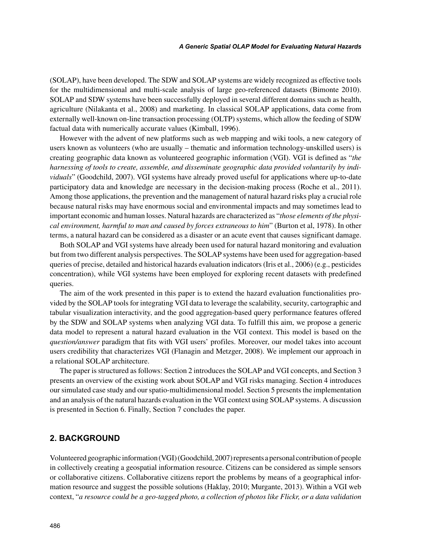(SOLAP), have been developed. The SDW and SOLAP systems are widely recognized as effective tools for the multidimensional and multi-scale analysis of large geo-referenced datasets (Bimonte 2010). SOLAP and SDW systems have been successfully deployed in several different domains such as health, agriculture (Nilakanta et al., 2008) and marketing. In classical SOLAP applications, data come from externally well-known on-line transaction processing (OLTP) systems, which allow the feeding of SDW factual data with numerically accurate values (Kimball, 1996).

However with the advent of new platforms such as web mapping and wiki tools, a new category of users known as volunteers (who are usually – thematic and information technology-unskilled users) is creating geographic data known as volunteered geographic information (VGI). VGI is defined as "*the harnessing of tools to create, assemble, and disseminate geographic data provided voluntarily by individuals*" (Goodchild, 2007). VGI systems have already proved useful for applications where up-to-date participatory data and knowledge are necessary in the decision-making process (Roche et al., 2011). Among those applications, the prevention and the management of natural hazard risks play a crucial role because natural risks may have enormous social and environmental impacts and may sometimes lead to important economic and human losses. Natural hazards are characterized as "*those elements of the physical environment, harmful to man and caused by forces extraneous to him*" (Burton et al, 1978). In other terms, a natural hazard can be considered as a disaster or an acute event that causes significant damage.

Both SOLAP and VGI systems have already been used for natural hazard monitoring and evaluation but from two different analysis perspectives. The SOLAP systems have been used for aggregation-based queries of precise, detailed and historical hazards evaluation indicators (Iris et al., 2006) (e.g., pesticides concentration), while VGI systems have been employed for exploring recent datasets with predefined queries.

The aim of the work presented in this paper is to extend the hazard evaluation functionalities provided by the SOLAP tools for integrating VGI data to leverage the scalability, security, cartographic and tabular visualization interactivity, and the good aggregation-based query performance features offered by the SDW and SOLAP systems when analyzing VGI data. To fulfill this aim, we propose a generic data model to represent a natural hazard evaluation in the VGI context. This model is based on the *question/answer* paradigm that fits with VGI users' profiles. Moreover, our model takes into account users credibility that characterizes VGI (Flanagin and Metzger, 2008). We implement our approach in a relational SOLAP architecture.

The paper is structured as follows: Section 2 introduces the SOLAP and VGI concepts, and Section 3 presents an overview of the existing work about SOLAP and VGI risks managing. Section 4 introduces our simulated case study and our spatio-multidimensional model. Section 5 presents the implementation and an analysis of the natural hazards evaluation in the VGI context using SOLAP systems. A discussion is presented in Section 6. Finally, Section 7 concludes the paper.

## **2. BACKGROUND**

Volunteered geographic information (VGI) (Goodchild, 2007) represents a personal contribution of people in collectively creating a geospatial information resource. Citizens can be considered as simple sensors or collaborative citizens. Collaborative citizens report the problems by means of a geographical information resource and suggest the possible solutions (Haklay, 2010; Murgante, 2013). Within a VGI web context, "*a resource could be a geo-tagged photo, a collection of photos like Flickr, or a data validation*